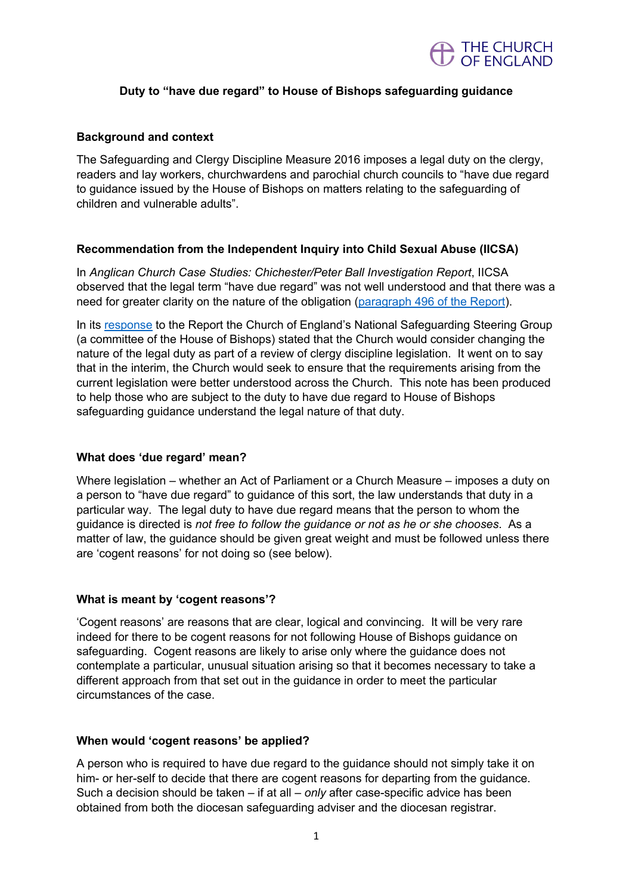

# **Duty to "have due regard" to House of Bishops safeguarding guidance**

## **Background and context**

The Safeguarding and Clergy Discipline Measure 2016 imposes a legal duty on the clergy, readers and lay workers, churchwardens and parochial church councils to "have due regard to guidance issued by the House of Bishops on matters relating to the safeguarding of children and vulnerable adults".

## **Recommendation from the Independent Inquiry into Child Sexual Abuse (IICSA)**

In *Anglican Church Case Studies: Chichester/Peter Ball Investigation Report*, IICSA observed that the legal term "have due regard" was not well understood and that there was a need for greater clarity on the nature of the obligation (paragraph 496 of the Report).

In its response to the Report the Church of England's National Safeguarding Steering Group (a committee of the House of Bishops) stated that the Church would consider changing the nature of the legal duty as part of a review of clergy discipline legislation. It went on to say that in the interim, the Church would seek to ensure that the requirements arising from the current legislation were better understood across the Church. This note has been produced to help those who are subject to the duty to have due regard to House of Bishops safeguarding guidance understand the legal nature of that duty.

## **What does 'due regard' mean?**

Where legislation – whether an Act of Parliament or a Church Measure – imposes a duty on a person to "have due regard" to guidance of this sort, the law understands that duty in a particular way. The legal duty to have due regard means that the person to whom the guidance is directed is *not free to follow the guidance or not as he or she chooses*. As a matter of law, the guidance should be given great weight and must be followed unless there are 'cogent reasons' for not doing so (see below).

#### **What is meant by 'cogent reasons'?**

'Cogent reasons' are reasons that are clear, logical and convincing. It will be very rare indeed for there to be cogent reasons for not following House of Bishops guidance on safeguarding. Cogent reasons are likely to arise only where the guidance does not contemplate a particular, unusual situation arising so that it becomes necessary to take a different approach from that set out in the guidance in order to meet the particular circumstances of the case.

#### **When would 'cogent reasons' be applied?**

A person who is required to have due regard to the guidance should not simply take it on him- or her-self to decide that there are cogent reasons for departing from the guidance. Such a decision should be taken – if at all – *only* after case-specific advice has been obtained from both the diocesan safeguarding adviser and the diocesan registrar.